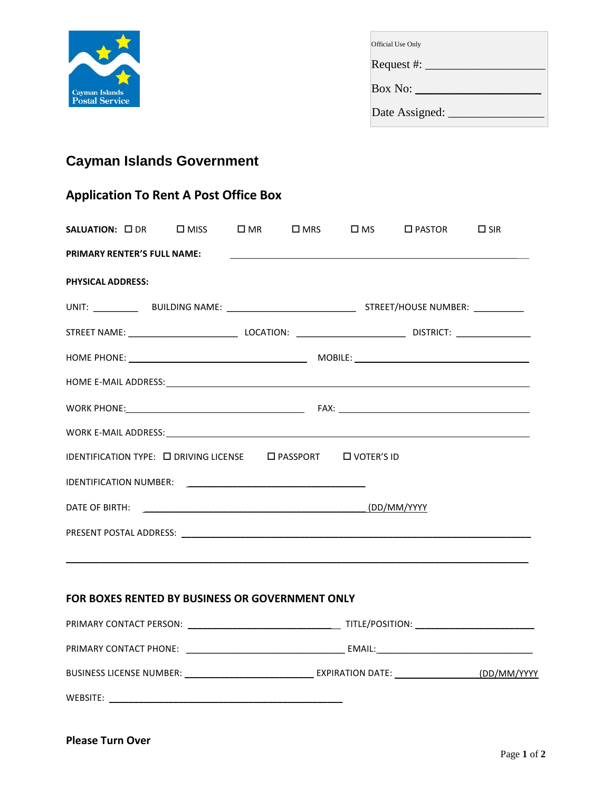

| Official Use Only               |  |
|---------------------------------|--|
| Request #: $\rule{1em}{0.15mm}$ |  |
| Box No: $\_\_$                  |  |
| Date Assigned:                  |  |

## **Cayman Islands Government**

## **Application To Rent A Post Office Box**

|                          |                                                                                                                                                                                                                                      |  | SALUATION: ODR OMISS OMR OMRS OMS OPASTOR OSIR |  |
|--------------------------|--------------------------------------------------------------------------------------------------------------------------------------------------------------------------------------------------------------------------------------|--|------------------------------------------------|--|
|                          |                                                                                                                                                                                                                                      |  | PRIMARY RENTER'S FULL NAME:                    |  |
| <b>PHYSICAL ADDRESS:</b> |                                                                                                                                                                                                                                      |  |                                                |  |
|                          |                                                                                                                                                                                                                                      |  |                                                |  |
|                          |                                                                                                                                                                                                                                      |  |                                                |  |
|                          |                                                                                                                                                                                                                                      |  |                                                |  |
|                          |                                                                                                                                                                                                                                      |  |                                                |  |
|                          |                                                                                                                                                                                                                                      |  |                                                |  |
|                          |                                                                                                                                                                                                                                      |  |                                                |  |
|                          | IDENTIFICATION TYPE: □ DRIVING LICENSE □ PASSPORT □ VOTER'S ID                                                                                                                                                                       |  |                                                |  |
|                          |                                                                                                                                                                                                                                      |  |                                                |  |
|                          | DATE OF BIRTH: <u>New York: CONSERVING THE CONSERVATION OF BIRTH: CONSERVATION OF BIRTH: CONSERVATION OF BIRTH: CONSERVATION OF BIRTH: CONSERVATION OF BIRTH: CONSERVATION OF BIRTH: CONSERVATION OF BIRTH: CONSERVATION OF BIRT</u> |  |                                                |  |
|                          |                                                                                                                                                                                                                                      |  |                                                |  |
|                          |                                                                                                                                                                                                                                      |  |                                                |  |
|                          |                                                                                                                                                                                                                                      |  |                                                |  |
|                          | FOR BOXES RENTED BY BUSINESS OR GOVERNMENT ONLY                                                                                                                                                                                      |  |                                                |  |
|                          |                                                                                                                                                                                                                                      |  |                                                |  |
|                          |                                                                                                                                                                                                                                      |  |                                                |  |
|                          |                                                                                                                                                                                                                                      |  |                                                |  |
| WEBSITE:                 |                                                                                                                                                                                                                                      |  |                                                |  |